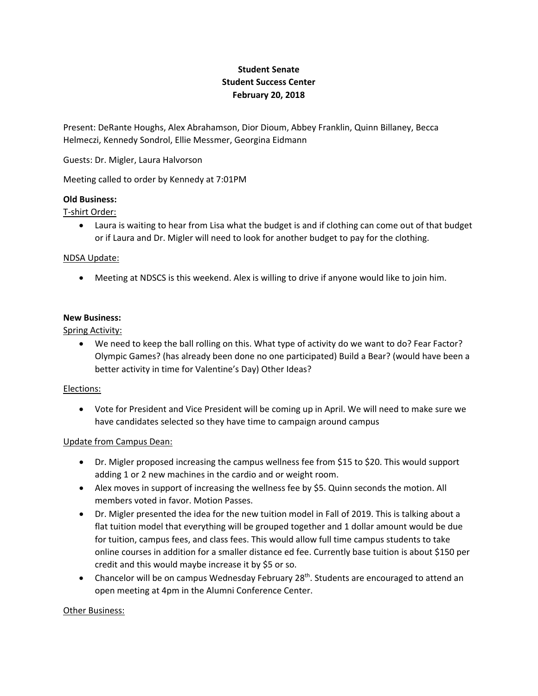# **Student Senate Student Success Center February 20, 2018**

Present: DeRante Houghs, Alex Abrahamson, Dior Dioum, Abbey Franklin, Quinn Billaney, Becca Helmeczi, Kennedy Sondrol, Ellie Messmer, Georgina Eidmann

Guests: Dr. Migler, Laura Halvorson

Meeting called to order by Kennedy at 7:01PM

## **Old Business:**

T‐shirt Order:

 or if Laura and Dr. Migler will need to look for another budget to pay for the clothing. Laura is waiting to hear from Lisa what the budget is and if clothing can come out of that budget

## NDSA Update:

Meeting at NDSCS is this weekend. Alex is willing to drive if anyone would like to join him.

## **New Business:**

Spring Activity:

 We need to keep the ball rolling on this. What type of activity do we want to do? Fear Factor? Olympic Games? (has already been done no one participated) Build a Bear? (would have been a better activity in time for Valentine's Day) Other Ideas?

## Elections:

 Vote for President and Vice President will be coming up in April. We will need to make sure we have candidates selected so they have time to campaign around campus

## Update from Campus Dean:

- adding 1 or 2 new machines in the cardio and or weight room. Dr. Migler proposed increasing the campus wellness fee from \$15 to \$20. This would support
- Alex moves in support of increasing the wellness fee by \$5. Quinn seconds the motion. All members voted in favor. Motion Passes.
- Dr. Migler presented the idea for the new tuition model in Fall of 2019. This is talking about a flat tuition model that everything will be grouped together and 1 dollar amount would be due for tuition, campus fees, and class fees. This would allow full time campus students to take online courses in addition for a smaller distance ed fee. Currently base tuition is about \$150 per credit and this would maybe increase it by \$5 or so.
- Chancelor will be on campus Wednesday February 28<sup>th</sup>. Students are encouraged to attend an open meeting at 4pm in the Alumni Conference Center.

## **Other Business:**